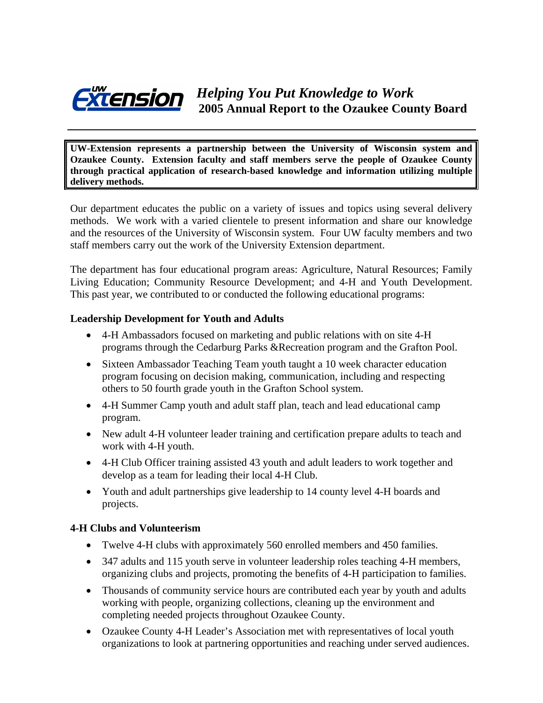

**UW-Extension represents a partnership between the University of Wisconsin system and Ozaukee County. Extension faculty and staff members serve the people of Ozaukee County through practical application of research-based knowledge and information utilizing multiple delivery methods.** 

Our department educates the public on a variety of issues and topics using several delivery methods. We work with a varied clientele to present information and share our knowledge and the resources of the University of Wisconsin system. Four UW faculty members and two staff members carry out the work of the University Extension department.

The department has four educational program areas: Agriculture, Natural Resources; Family Living Education; Community Resource Development; and 4-H and Youth Development. This past year, we contributed to or conducted the following educational programs:

#### **Leadership Development for Youth and Adults**

- 4-H Ambassadors focused on marketing and public relations with on site 4-H programs through the Cedarburg Parks &Recreation program and the Grafton Pool.
- Sixteen Ambassador Teaching Team youth taught a 10 week character education program focusing on decision making, communication, including and respecting others to 50 fourth grade youth in the Grafton School system.
- 4-H Summer Camp youth and adult staff plan, teach and lead educational camp program.
- New adult 4-H volunteer leader training and certification prepare adults to teach and work with 4-H youth.
- 4-H Club Officer training assisted 43 youth and adult leaders to work together and develop as a team for leading their local 4-H Club.
- Youth and adult partnerships give leadership to 14 county level 4-H boards and projects.

# **4-H Clubs and Volunteerism**

- Twelve 4-H clubs with approximately 560 enrolled members and 450 families.
- 347 adults and 115 youth serve in volunteer leadership roles teaching 4-H members, organizing clubs and projects, promoting the benefits of 4-H participation to families.
- Thousands of community service hours are contributed each year by youth and adults working with people, organizing collections, cleaning up the environment and completing needed projects throughout Ozaukee County.
- Ozaukee County 4-H Leader's Association met with representatives of local youth organizations to look at partnering opportunities and reaching under served audiences.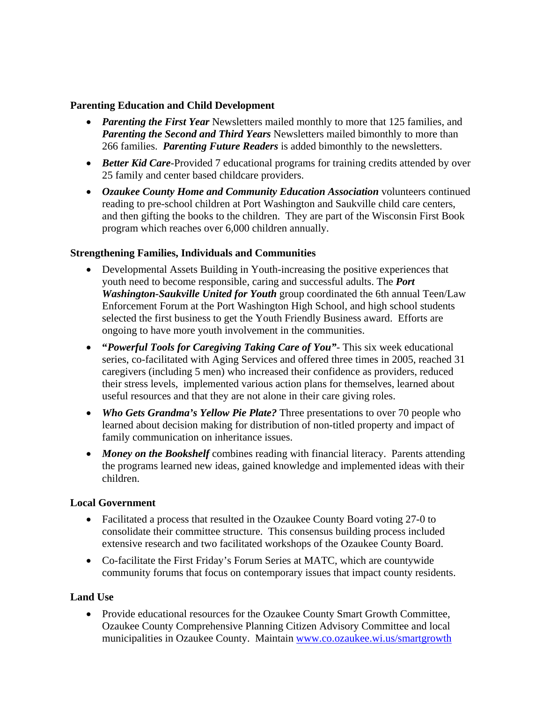#### **Parenting Education and Child Development**

- *Parenting the First Year* Newsletters mailed monthly to more that 125 families, and *Parenting the Second and Third Years* Newsletters mailed bimonthly to more than 266 families. *Parenting Future Readers* is added bimonthly to the newsletters.
- *Better Kid Care-Provided 7 educational programs for training credits attended by over* 25 family and center based childcare providers.
- *Ozaukee County Home and Community Education Association* volunteers continued reading to pre-school children at Port Washington and Saukville child care centers, and then gifting the books to the children. They are part of the Wisconsin First Book program which reaches over 6,000 children annually.

# **Strengthening Families, Individuals and Communities**

- Developmental Assets Building in Youth-increasing the positive experiences that youth need to become responsible, caring and successful adults. The *Port Washington-Saukville United for Youth* group coordinated the 6th annual Teen/Law Enforcement Forum at the Port Washington High School, and high school students selected the first business to get the Youth Friendly Business award. Efforts are ongoing to have more youth involvement in the communities.
- **"***Powerful Tools for Caregiving Taking Care of You"-* This six week educational series, co-facilitated with Aging Services and offered three times in 2005, reached 31 caregivers (including 5 men) who increased their confidence as providers, reduced their stress levels, implemented various action plans for themselves, learned about useful resources and that they are not alone in their care giving roles.
- *Who Gets Grandma's Yellow Pie Plate?* Three presentations to over 70 people who learned about decision making for distribution of non-titled property and impact of family communication on inheritance issues.
- *Money on the Bookshelf* combines reading with financial literacy. Parents attending the programs learned new ideas, gained knowledge and implemented ideas with their children.

# **Local Government**

- Facilitated a process that resulted in the Ozaukee County Board voting 27-0 to consolidate their committee structure. This consensus building process included extensive research and two facilitated workshops of the Ozaukee County Board.
- Co-facilitate the First Friday's Forum Series at MATC, which are countywide community forums that focus on contemporary issues that impact county residents.

# **Land Use**

• Provide educational resources for the Ozaukee County Smart Growth Committee, Ozaukee County Comprehensive Planning Citizen Advisory Committee and local municipalities in Ozaukee County. Maintain [www.co.ozaukee.wi.us/smartgrowth](http://www.co.ozaukee.wi.us/smartgrowth)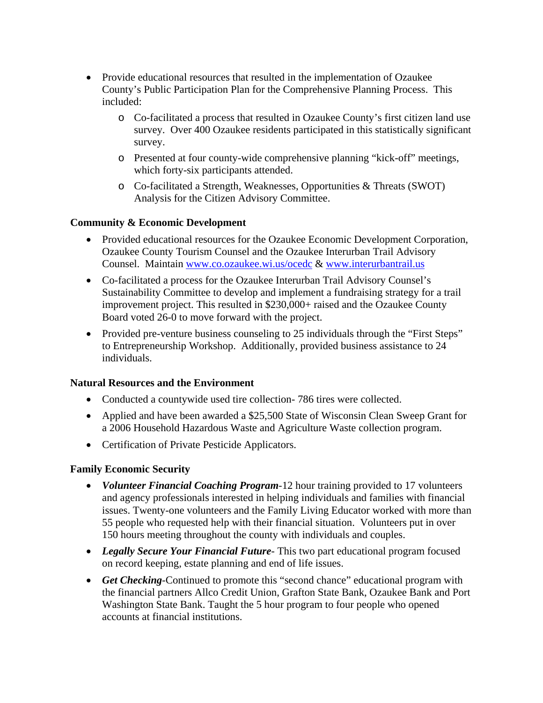- Provide educational resources that resulted in the implementation of Ozaukee County's Public Participation Plan for the Comprehensive Planning Process. This included:
	- o Co-facilitated a process that resulted in Ozaukee County's first citizen land use survey. Over 400 Ozaukee residents participated in this statistically significant survey.
	- o Presented at four county-wide comprehensive planning "kick-off" meetings, which forty-six participants attended.
	- o Co-facilitated a Strength, Weaknesses, Opportunities & Threats (SWOT) Analysis for the Citizen Advisory Committee.

# **Community & Economic Development**

- Provided educational resources for the Ozaukee Economic Development Corporation, Ozaukee County Tourism Counsel and the Ozaukee Interurban Trail Advisory Counsel. Maintain [www.co.ozaukee.wi.us/ocedc](http://www.co.ozaukee.wi.us/ocedc) & [www.interurbantrail.us](http://www.interurbantrail.us/)
- Co-facilitated a process for the Ozaukee Interurban Trail Advisory Counsel's Sustainability Committee to develop and implement a fundraising strategy for a trail improvement project. This resulted in \$230,000+ raised and the Ozaukee County Board voted 26-0 to move forward with the project.
- Provided pre-venture business counseling to 25 individuals through the "First Steps" to Entrepreneurship Workshop. Additionally, provided business assistance to 24 individuals.

# **Natural Resources and the Environment**

- Conducted a countywide used tire collection- 786 tires were collected.
- Applied and have been awarded a \$25,500 State of Wisconsin Clean Sweep Grant for a 2006 Household Hazardous Waste and Agriculture Waste collection program.
- Certification of Private Pesticide Applicators.

# **Family Economic Security**

- *Volunteer Financial Coaching Program*-12 hour training provided to 17 volunteers and agency professionals interested in helping individuals and families with financial issues. Twenty-one volunteers and the Family Living Educator worked with more than 55 people who requested help with their financial situation. Volunteers put in over 150 hours meeting throughout the county with individuals and couples.
- *Legally Secure Your Financial Future* This two part educational program focused on record keeping, estate planning and end of life issues.
- *Get Checking*-Continued to promote this "second chance" educational program with the financial partners Allco Credit Union, Grafton State Bank, Ozaukee Bank and Port Washington State Bank. Taught the 5 hour program to four people who opened accounts at financial institutions.